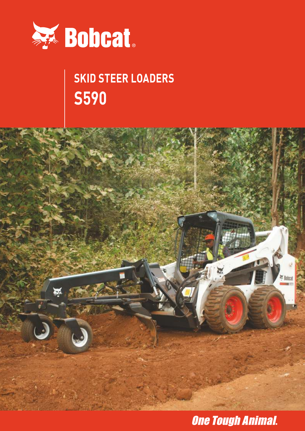

# **SKID STEER LOADERS S590**



**One Tough Animal.**